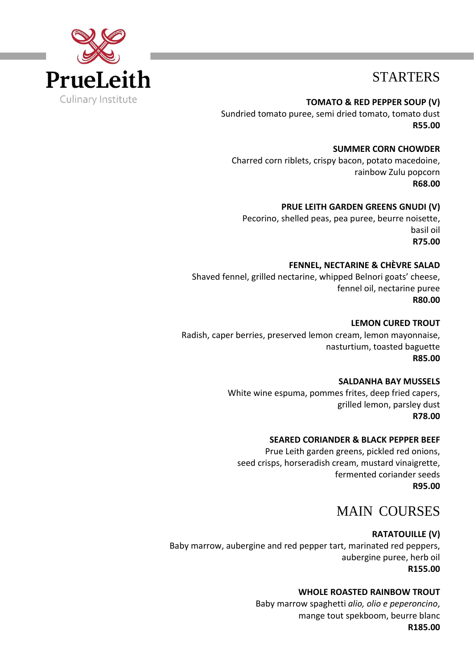

# STARTERS

**TOMATO & RED PEPPER SOUP (V)** Sundried tomato puree, semi dried tomato, tomato dust **R55.00**

 **SUMMER CORN CHOWDER** Charred corn riblets, crispy bacon, potato macedoine, rainbow Zulu popcorn **R68.00**

**PRUE LEITH GARDEN GREENS GNUDI (V)** Pecorino, shelled peas, pea puree, beurre noisette, basil oil **R75.00**

#### **FENNEL, NECTARINE & CHÈVRE SALAD**

Shaved fennel, grilled nectarine, whipped Belnori goats' cheese, fennel oil, nectarine puree **R80.00**

**LEMON CURED TROUT**

Radish, caper berries, preserved lemon cream, lemon mayonnaise, nasturtium, toasted baguette **R85.00**

#### **SALDANHA BAY MUSSELS**

White wine espuma, pommes frites, deep fried capers, grilled lemon, parsley dust **R78.00**

#### **SEARED CORIANDER & BLACK PEPPER BEEF**

Prue Leith garden greens, pickled red onions, seed crisps, horseradish cream, mustard vinaigrette, fermented coriander seeds **R95.00**

# MAIN COURSES

### **RATATOUILLE (V)**

Baby marrow, aubergine and red pepper tart, marinated red peppers, aubergine puree, herb oil **R155.00**

### **WHOLE ROASTED RAINBOW TROUT**

Baby marrow spaghetti *alio, olio e peperoncino*, mange tout spekboom, beurre blanc **R185.00**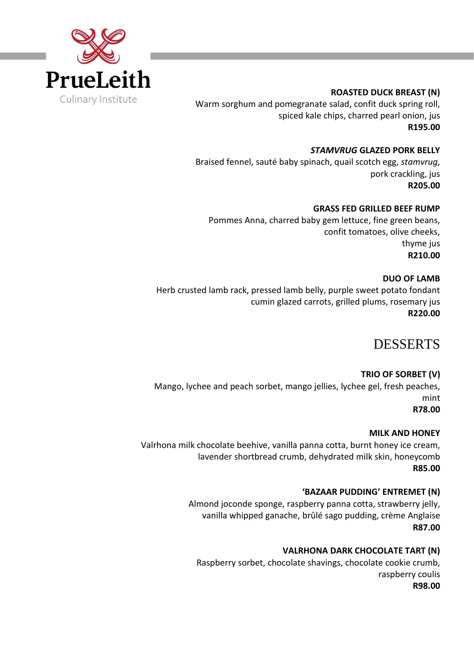

### **ROASTED DUCK BREAST (N)**

Warm sorghum and pomegranate salad, confit duck spring roll, spiced kale chips, charred pearl onion, jus **R195.00**

*STAMVRUG* **GLAZED PORK BELLY** Braised fennel, sauté baby spinach, quail scotch egg, *stamvrug*, pork crackling, jus **R205.00**

### **GRASS FED GRILLED BEEF RUMP**

Pommes Anna, charred baby gem lettuce, fine green beans, confit tomatoes, olive cheeks, thyme jus **R210.00**

### **DUO OF LAMB**

Herb crusted lamb rack, pressed lamb belly, purple sweet potato fondant cumin glazed carrots, grilled plums, rosemary jus **R220.00**

# DESSERTS

## **TRIO OF SORBET (V)**

Mango, lychee and peach sorbet, mango jellies, lychee gel, fresh peaches, mint **R78.00**

**MILK AND HONEY**

Valrhona milk chocolate beehive, vanilla panna cotta, burnt honey ice cream, lavender shortbread crumb, dehydrated milk skin, honeycomb **R85.00**

### **'BAZAAR PUDDING' ENTREMET (N)**

Almond joconde sponge, raspberry panna cotta, strawberry jelly, vanilla whipped ganache, brûlé sago pudding, crème Anglaise **R87.00**

### **VALRHONA DARK CHOCOLATE TART (N)**

Raspberry sorbet, chocolate shavings, chocolate cookie crumb, raspberry coulis **R98.00**